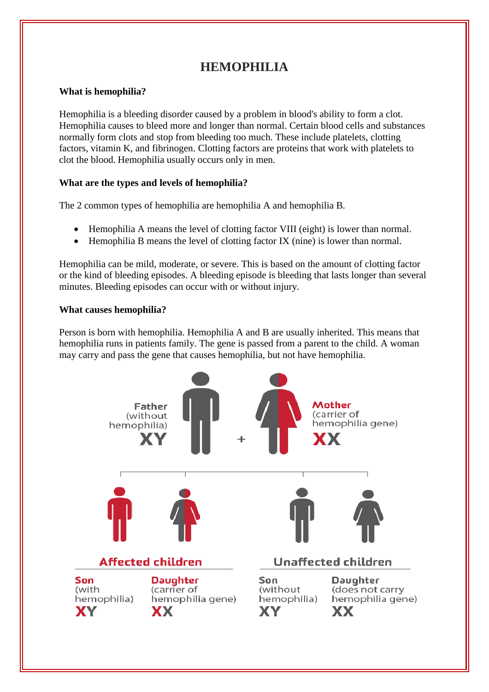# **HEMOPHILIA**

## **What is hemophilia?**

Hemophilia is a bleeding disorder caused by a problem in blood's ability to form a clot. Hemophilia causes to bleed more and longer than normal. Certain blood cells and substances normally form clots and stop from bleeding too much. These include platelets, clotting factors, vitamin K, and fibrinogen. Clotting factors are proteins that work with platelets to clot the blood. Hemophilia usually occurs only in men.

## **What are the types and levels of hemophilia?**

The 2 common types of hemophilia are hemophilia A and hemophilia B.

- Hemophilia A means the level of clotting factor VIII (eight) is lower than normal.
- Hemophilia B means the level of clotting factor IX (nine) is lower than normal.

Hemophilia can be mild, moderate, or severe. This is based on the amount of clotting factor or the kind of bleeding episodes. A bleeding episode is bleeding that lasts longer than several minutes. Bleeding episodes can occur with or without injury.

## **What causes hemophilia?**

Person is born with hemophilia. Hemophilia A and B are usually inherited. This means that hemophilia runs in patients family. The gene is passed from a parent to the child. A woman may carry and pass the gene that causes hemophilia, but not have hemophilia.